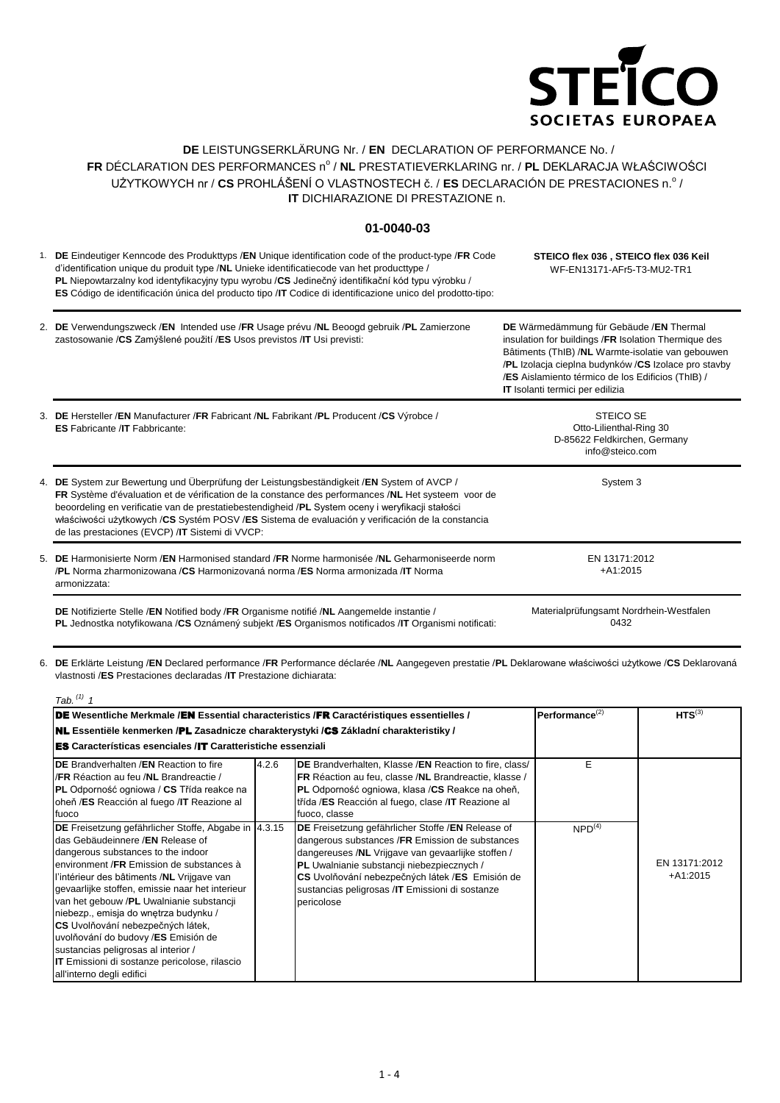

## **DE** LEISTUNGSERKLÄRUNG Nr. / **EN** DECLARATION OF PERFORMANCE No. / FR DÉCLARATION DES PERFORMANCES nº / **NL** PRESTATIEVERKLARING nr. / **PL** DEKLARACJA WŁAŚCIWOŚCI UŻYTKOWYCH nr / CS PROHLÁŠENÍ O VLASTNOSTECH č. / ES DECLARACIÓN DE PRESTACIONES n.º / **IT** DICHIARAZIONE DI PRESTAZIONE n.

## **01-0040-03**

1. **DE** Eindeutiger Kenncode des Produkttyps /**EN** Unique identification code of the product-type /**FR** Code d'identification unique du produit type /**NL** Unieke identificatiecode van het producttype / **PL** Niepowtarzalny kod identyfikacyjny typu wyrobu /**CS** Jedinečný identifikační kód typu výrobku / **ES** Código de identificación única del producto tipo /**IT** Codice di identificazione unico del prodotto-tipo: **STEICO flex 036 , STEICO flex 036 Keil** WF-EN13171-AFr5-T3-MU2-TR1

| 2. DE Verwendungszweck /EN Intended use /FR Usage prévu /NL Beoogd gebruik /PL Zamierzone | DE Wärmedämmung für Gebäude /EN Thermal                   |
|-------------------------------------------------------------------------------------------|-----------------------------------------------------------|
| zastosowanie / CS Zamýšlené použití / ES Usos previstos / IT Usi previsti:                | insulation for buildings /FR Isolation Thermique des      |
|                                                                                           | Bâtiments (ThIB) / <b>NL</b> Warmte-isolatie van gebouwen |
|                                                                                           | /PL Izolacja cieplna budynków /CS Izolace pro stavby      |
|                                                                                           | /ES Aislamiento térmico de los Edificios (ThIB) /         |

| 3. DE Hersteller /EN Manufacturer /FR Fabricant /NL Fabrikant /PL Producent /CS Výrobce /<br><b>ES</b> Fabricante / <b>IT</b> Fabbricante:                                                                                                                                                                                                                                                                                                                    | <b>STEICO SE</b><br>Otto-Lilienthal-Ring 30<br>D-85622 Feldkirchen, Germany<br>info@steico.com |
|---------------------------------------------------------------------------------------------------------------------------------------------------------------------------------------------------------------------------------------------------------------------------------------------------------------------------------------------------------------------------------------------------------------------------------------------------------------|------------------------------------------------------------------------------------------------|
| 4. DE System zur Bewertung und Überprüfung der Leistungsbeständigkeit /EN System of AVCP /<br>FR Système d'évaluation et de vérification de la constance des performances /NL Het systeem voor de<br>beoordeling en verificatie van de prestatiebestendigheid /PL System oceny i weryfikacji stałości<br>właściwości użytkowych /CS Systém POSV /ES Sistema de evaluación y verificación de la constancia<br>de las prestaciones (EVCP) / IT Sistemi di VVCP: | System 3                                                                                       |
| 5. DE Harmonisierte Norm /EN Harmonised standard /FR Norme harmonisée /NL Geharmoniseerde norm<br><b>/PL</b> Norma zharmonizowana <b>/CS</b> Harmonizovaná norma <b>/ES</b> Norma armonizada <b>/IT</b> Norma<br>armonizzata:                                                                                                                                                                                                                                 | EN 13171:2012<br>$+41:2015$                                                                    |

**DE** Notifizierte Stelle /**EN** Notified body /**FR** Organisme notifié /**NL** Aangemelde instantie / **PL** Jednostka notyfikowana /**CS** Oznámený subjekt /**ES** Organismos notificados /**IT** Organismi notificati: Materialprüfungsamt Nordrhein-Westfalen 0432

**IT** Isolanti termici per edilizia

6. **DE** Erklärte Leistung /**EN** Declared performance /**FR** Performance déclarée /**NL** Aangegeven prestatie /**PL** Deklarowane właściwości użytkowe /**CS** Deklarovaná vlastnosti /**ES** Prestaciones declaradas /**IT** Prestazione dichiarata:

| Tab. $(1)$ 1                                                                                                                                                                                                                                                                                                                                                                                                                                                                                                                                                                     |                      |                                                                                                                                                                                                                                                                                                                               |                    |                             |  |  |  |  |
|----------------------------------------------------------------------------------------------------------------------------------------------------------------------------------------------------------------------------------------------------------------------------------------------------------------------------------------------------------------------------------------------------------------------------------------------------------------------------------------------------------------------------------------------------------------------------------|----------------------|-------------------------------------------------------------------------------------------------------------------------------------------------------------------------------------------------------------------------------------------------------------------------------------------------------------------------------|--------------------|-----------------------------|--|--|--|--|
| <b>DE</b> Wesentliche Merkmale /EN Essential characteristics /FR Caractéristiques essentielles /                                                                                                                                                                                                                                                                                                                                                                                                                                                                                 | Performance $^{(2)}$ | $HTS^{(3)}$                                                                                                                                                                                                                                                                                                                   |                    |                             |  |  |  |  |
| <b>NL</b> Essentiële kenmerken /PL Zasadnicze charakterystyki /CS Základní charakteristiky /                                                                                                                                                                                                                                                                                                                                                                                                                                                                                     |                      |                                                                                                                                                                                                                                                                                                                               |                    |                             |  |  |  |  |
| <b>ES</b> Características esenciales /IT Caratteristiche essenziali                                                                                                                                                                                                                                                                                                                                                                                                                                                                                                              |                      |                                                                                                                                                                                                                                                                                                                               |                    |                             |  |  |  |  |
| <b>DE</b> Brandverhalten /EN Reaction to fire<br>/FR Réaction au feu /NL Brandreactie /<br><b>PL</b> Odporność ogniowa / CS Třída reakce na<br>oheň /ES Reacción al fuego /IT Reazione al<br>fuoco                                                                                                                                                                                                                                                                                                                                                                               | 4.2.6                | DE Brandverhalten, Klasse /EN Reaction to fire, class/<br>FR Réaction au feu, classe /NL Brandreactie, klasse /<br>PL Odporność ogniowa, klasa /CS Reakce na oheň,<br>třída /ES Reacción al fuego, clase /IT Reazione al<br>fuoco, classe                                                                                     | Е                  |                             |  |  |  |  |
| <b>DE</b> Freisetzung gefährlicher Stoffe, Abgabe in  4.3.15<br>das Gebäudeinnere /EN Release of<br>dangerous substances to the indoor<br>environment /FR Emission de substances à<br>l'intérieur des bâtiments /NL Vrijgave van<br>gevaarlijke stoffen, emissie naar het interieur<br>van het gebouw /PL Uwalnianie substancji<br>niebezp., emisja do wnętrza budynku /<br>CS Uvolňování nebezpečných látek,<br>uvolňování do budovy /ES Emisión de<br>sustancias peligrosas al interior /<br><b>IT</b> Emissioni di sostanze pericolose, rilascio<br>all'interno degli edifici |                      | DE Freisetzung gefährlicher Stoffe / EN Release of<br>dangerous substances /FR Emission de substances<br>dangereuses /NL Vrijgave van gevaarlijke stoffen /<br>PL Uwalnianie substancji niebezpiecznych /<br>CS Uvolňování nebezpečných látek /ES Emisión de<br>sustancias peligrosas /IT Emissioni di sostanze<br>pericolose | NPD <sup>(4)</sup> | EN 13171:2012<br>$+A1:2015$ |  |  |  |  |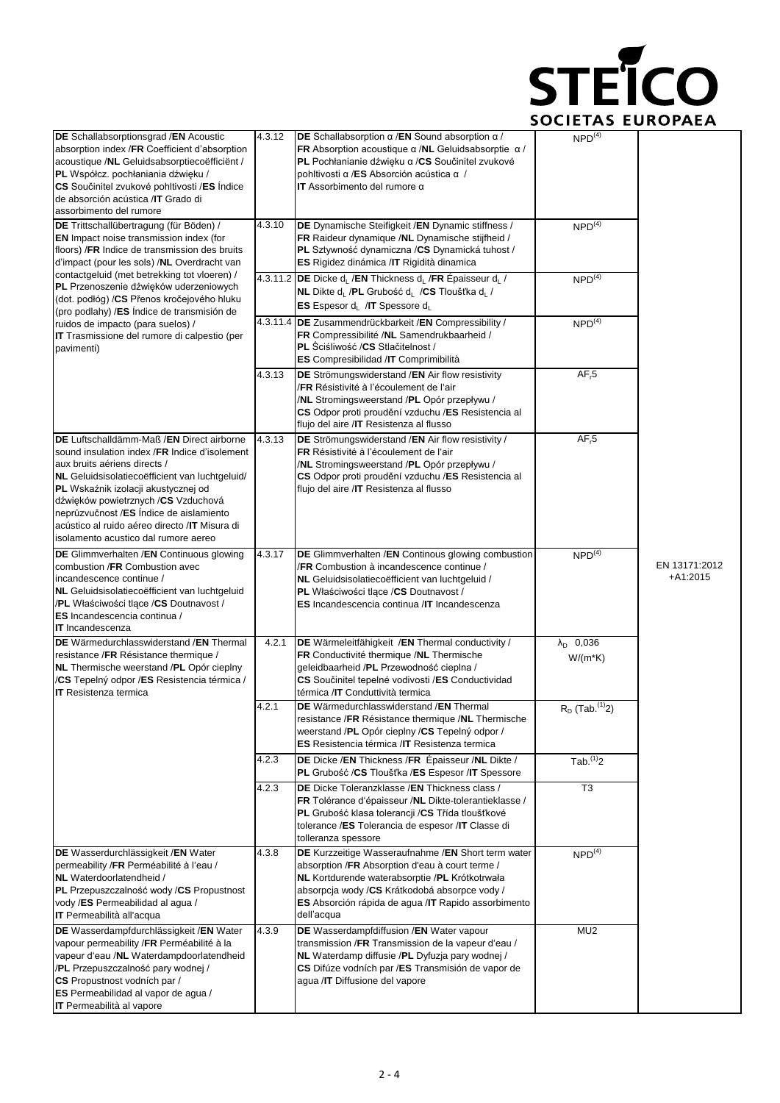

| DE Schallabsorptionsgrad / EN Acoustic<br>absorption index /FR Coefficient d'absorption<br>acoustique /NL Geluidsabsorptiecoëfficient /<br>PL Współcz. pochłaniania dźwięku /<br>CS Součinitel zvukové pohltivosti /ES Indice<br>de absorción acústica /IT Grado di<br>assorbimento del rumore                                                                                                  | 4.3.12 | DE Schallabsorption $\alpha$ /EN Sound absorption $\alpha$ /<br>FR Absorption acoustique $\alpha$ /NL Geluidsabsorptie $\alpha$ /<br>PL Pochłanianie dźwięku α /CS Součinitel zvukové<br>pohltivosti α /ES Absorción acústica α /<br>IT Assorbimento del rumore $\alpha$       | NPD <sup>(4)</sup>               |                             |
|-------------------------------------------------------------------------------------------------------------------------------------------------------------------------------------------------------------------------------------------------------------------------------------------------------------------------------------------------------------------------------------------------|--------|--------------------------------------------------------------------------------------------------------------------------------------------------------------------------------------------------------------------------------------------------------------------------------|----------------------------------|-----------------------------|
| DE Trittschallübertragung (für Böden) /<br><b>EN</b> Impact noise transmission index (for<br>floors) / FR Indice de transmission des bruits<br>d'impact (pour les sols) /NL Overdracht van                                                                                                                                                                                                      | 4.3.10 | DE Dynamische Steifigkeit / EN Dynamic stiffness /<br>FR Raideur dynamique /NL Dynamische stijfheid /<br>PL Sztywność dynamiczna /CS Dynamická tuhost /<br>ES Rigidez dinámica /IT Rigidità dinamica                                                                           | $NPD^{(4)}$                      |                             |
| contactgeluid (met betrekking tot vloeren) /<br>PL Przenoszenie dźwięków uderzeniowych<br>(dot. podłóg) / CS Přenos kročejového hluku<br>(pro podlahy) /ES Índice de transmisión de                                                                                                                                                                                                             |        | 4.3.11.2 DE Dicke d <sub>i</sub> /EN Thickness d <sub>i</sub> /FR Épaisseur d <sub>i</sub> /<br>NL Dikte d <sub>L</sub> /PL Grubość d <sub>L</sub> /CS Tloušťka d <sub>L</sub> /<br><b>ES</b> Espesor $d_L$ /IT Spessore $d_L$                                                 | NPD <sup>(4)</sup>               |                             |
| ruidos de impacto (para suelos) /<br>IT Trasmissione del rumore di calpestio (per<br>pavimenti)                                                                                                                                                                                                                                                                                                 |        | 4.3.11.4 DE Zusammendrückbarkeit / EN Compressibility /<br>FR Compressibilité /NL Samendrukbaarheid /<br>PL Sciśliwość /CS Stlačitelnost /<br>ES Compresibilidad / IT Comprimibilità                                                                                           | $NPD^{(4)}$                      |                             |
|                                                                                                                                                                                                                                                                                                                                                                                                 | 4.3.13 | DE Strömungswiderstand / EN Air flow resistivity<br>/FR Résistivité à l'écoulement de l'air<br>/NL Stromingsweerstand /PL Opór przepływu /<br>CS Odpor proti proudění vzduchu /ES Resistencia al<br>flujo del aire / IT Resistenza al flusso                                   | AF <sub>r</sub> 5                |                             |
| DE Luftschalldämm-Maß /EN Direct airborne<br>sound insulation index /FR Indice d'isolement<br>aux bruits aériens directs /<br>NL Geluidsisolatiecoëfficient van luchtgeluid/<br>PL Wskaźnik izolacji akustycznej od<br>dźwięków powietrznych /CS Vzduchová<br>neprůzvučnost /ES Índice de aislamiento<br>acústico al ruido aéreo directo / IT Misura di<br>isolamento acustico dal rumore aereo | 4.3.13 | DE Strömungswiderstand /EN Air flow resistivity /<br>FR Résistivité à l'écoulement de l'air<br>/NL Stromingsweerstand /PL Opór przepływu /<br>CS Odpor proti proudění vzduchu /ES Resistencia al<br>flujo del aire / IT Resistenza al flusso                                   | AF <sub>r</sub> 5                |                             |
| DE Glimmverhalten /EN Continuous glowing<br>combustion /FR Combustion avec<br>incandescence continue /<br>NL Geluidsisolatiecoëfficient van luchtgeluid<br>/PL Właściwości tlące /CS Doutnavost /<br>ES Incandescencia continua /<br><b>IT</b> Incandescenza                                                                                                                                    | 4.3.17 | DE Glimmverhalten / EN Continous glowing combustion<br>/FR Combustion à incandescence continue /<br>NL Geluidsisolatiecoëfficient van luchtgeluid /<br>PL Właściwości tlące /CS Doutnavost /<br><b>ES</b> Incandescencia continua /IT Incandescenza                            | NPD <sup>(4)</sup>               | EN 13171:2012<br>$+A1:2015$ |
| <b>DE</b> Wärmedurchlasswiderstand / <b>EN</b> Thermal<br>resistance /FR Résistance thermique /<br>NL Thermische weerstand /PL Opór cieplny<br>/CS Tepelný odpor /ES Resistencia térmica /<br><b>IT</b> Resistenza termica                                                                                                                                                                      | 4.2.1  | DE Wärmeleitfähigkeit /EN Thermal conductivity /<br>FR Conductivité thermique /NL Thermische<br>geleidbaarheid /PL Przewodność cieplna /<br>CS Součinitel tepelné vodivosti /ES Conductividad<br>térmica /IT Conduttività termica                                              | $\lambda_{D}$ 0,036<br>$W/(m*K)$ |                             |
|                                                                                                                                                                                                                                                                                                                                                                                                 | 4.2.1  | DE Wärmedurchlasswiderstand / EN Thermal<br>resistance /FR Résistance thermique /NL Thermische<br>weerstand /PL Opór cieplny /CS Tepelný odpor /<br><b>ES</b> Resistencia térmica / <b>IT</b> Resistenza termica                                                               | $R_D$ (Tab. $(1)$ )              |                             |
|                                                                                                                                                                                                                                                                                                                                                                                                 | 4.2.3  | DE Dicke / EN Thickness / FR Épaisseur / NL Dikte /<br>PL Grubość /CS Tloušťka /ES Espesor /IT Spessore                                                                                                                                                                        | $Tab.$ <sup>(1)</sup> 2          |                             |
|                                                                                                                                                                                                                                                                                                                                                                                                 | 4.2.3  | DE Dicke Toleranzklasse / EN Thickness class /<br>FR Tolérance d'épaisseur /NL Dikte-tolerantieklasse /<br>PL Grubość klasa tolerancji / CS Třída tloušťkové<br>tolerance /ES Tolerancia de espesor /IT Classe di<br>tolleranza spessore                                       | T <sub>3</sub>                   |                             |
| DE Wasserdurchlässigkeit / EN Water<br>permeability /FR Perméabilité à l'eau /<br>NL Waterdoorlatendheid /<br>PL Przepuszczalność wody /CS Propustnost<br>vody /ES Permeabilidad al agua /<br><b>IT</b> Permeabilità all'acqua                                                                                                                                                                  | 4.3.8  | DE Kurzzeitige Wasseraufnahme / EN Short term water<br>absorption /FR Absorption d'eau à court terme /<br>NL Kortdurende waterabsorptie /PL Krótkotrwała<br>absorpcja wody /CS Krátkodobá absorpce vody /<br>ES Absorción rápida de agua /IT Rapido assorbimento<br>dell'acqua | NPD <sup>(4)</sup>               |                             |
| DE Wasserdampfdurchlässigkeit / EN Water<br>vapour permeability /FR Perméabilité à la<br>vapeur d'eau /NL Waterdampdoorlatendheid<br>/PL Przepuszczalność pary wodnej /<br>CS Propustnost vodních par /<br><b>ES</b> Permeabilidad al vapor de agua /<br><b>IT</b> Permeabilità al vapore                                                                                                       | 4.3.9  | DE Wasserdampfdiffusion /EN Water vapour<br>transmission / FR Transmission de la vapeur d'eau /<br>NL Waterdamp diffusie /PL Dyfuzja pary wodnej /<br>CS Difúze vodních par /ES Transmisión de vapor de<br>agua /IT Diffusione del vapore                                      | MU <sub>2</sub>                  |                             |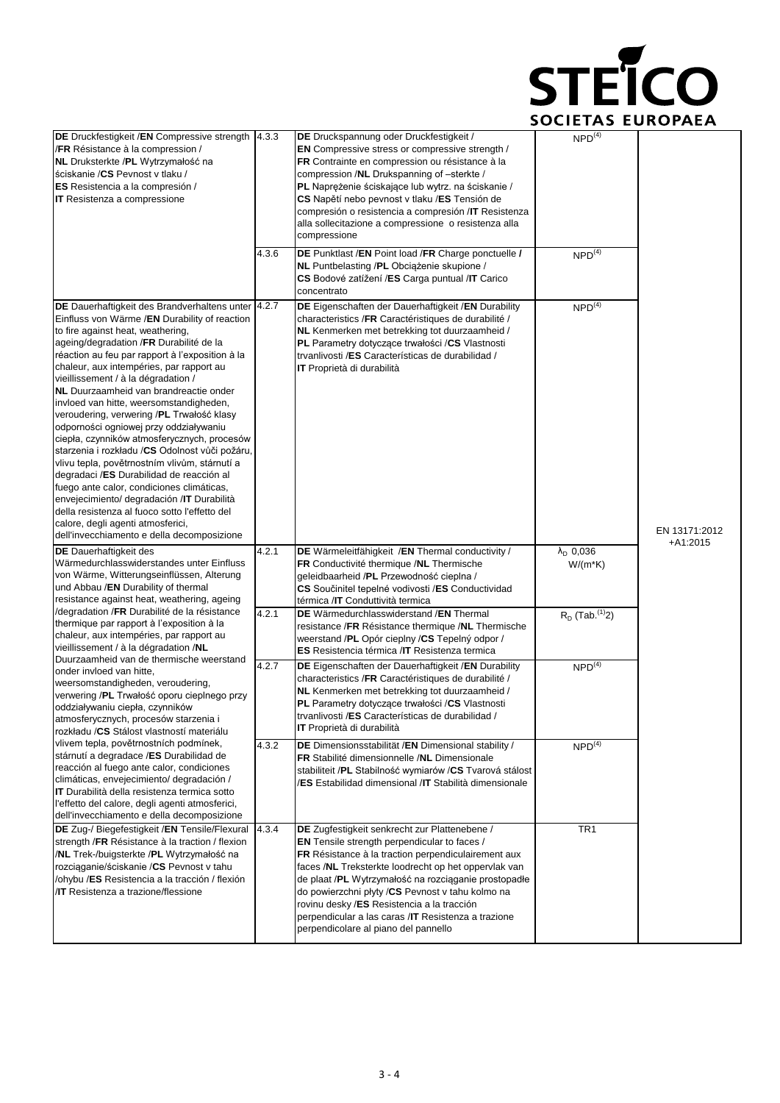

| DE Druckfestigkeit /EN Compressive strength<br>/FR Résistance à la compression /<br>NL Druksterkte /PL Wytrzymałość na<br>ściskanie / CS Pevnost v tlaku /<br>ES Resistencia a la compresión /<br><b>IT</b> Resistenza a compressione                                                                                                                                                                                                                                                                                                                                                                                                                                                                                                                                                                                                                                                                                              | 4.3.3<br>4.3.6 | DE Druckspannung oder Druckfestigkeit /<br><b>EN</b> Compressive stress or compressive strength /<br>FR Contrainte en compression ou résistance à la<br>compression /NL Drukspanning of -sterkte /<br>PL Naprężenie ściskające lub wytrz. na ściskanie /<br>CS Napětí nebo pevnost v tlaku /ES Tensión de<br>compresión o resistencia a compresión /IT Resistenza<br>alla sollecitazione a compressione o resistenza alla<br>compressione                                    | NPD <sup>(4)</sup>                   |                             |
|------------------------------------------------------------------------------------------------------------------------------------------------------------------------------------------------------------------------------------------------------------------------------------------------------------------------------------------------------------------------------------------------------------------------------------------------------------------------------------------------------------------------------------------------------------------------------------------------------------------------------------------------------------------------------------------------------------------------------------------------------------------------------------------------------------------------------------------------------------------------------------------------------------------------------------|----------------|------------------------------------------------------------------------------------------------------------------------------------------------------------------------------------------------------------------------------------------------------------------------------------------------------------------------------------------------------------------------------------------------------------------------------------------------------------------------------|--------------------------------------|-----------------------------|
|                                                                                                                                                                                                                                                                                                                                                                                                                                                                                                                                                                                                                                                                                                                                                                                                                                                                                                                                    |                | DE Punktlast /EN Point load /FR Charge ponctuelle /<br>NL Puntbelasting /PL Obciążenie skupione /<br>CS Bodové zatížení /ES Carga puntual /IT Carico<br>concentrato                                                                                                                                                                                                                                                                                                          | NPD <sup>(4)</sup>                   |                             |
| DE Dauerhaftigkeit des Brandverhaltens unter 4.2.7<br>Einfluss von Wärme /EN Durability of reaction<br>to fire against heat, weathering,<br>ageing/degradation /FR Durabilité de la<br>réaction au feu par rapport à l'exposition à la<br>chaleur, aux intempéries, par rapport au<br>vieillissement / à la dégradation /<br>NL Duurzaamheid van brandreactie onder<br>invloed van hitte, weersomstandigheden,<br>veroudering, verwering /PL Trwałość klasy<br>odporności ogniowej przy oddziaływaniu<br>ciepła, czynników atmosferycznych, procesów<br>starzenia i rozkładu /CS Odolnost vůči požáru,<br>vlivu tepla, povětrnostním vlivům, stárnutí a<br>degradaci /ES Durabilidad de reacción al<br>fuego ante calor, condiciones climáticas,<br>envejecimiento/ degradación /IT Durabilità<br>della resistenza al fuoco sotto l'effetto del<br>calore, degli agenti atmosferici,<br>dell'invecchiamento e della decomposizione |                | <b>DE</b> Eigenschaften der Dauerhaftigkeit /EN Durability<br>characteristics /FR Caractéristiques de durabilité /<br>NL Kenmerken met betrekking tot duurzaamheid /<br><b>PL</b> Parametry dotyczące trwałości /CS Vlastnosti<br>trvanlivosti /ES Características de durabilidad /<br><b>IT</b> Proprietà di durabilità                                                                                                                                                     | NPD <sup>(4)</sup>                   | EN 13171:2012<br>$+A1:2015$ |
| <b>DE</b> Dauerhaftigkeit des<br>Wärmedurchlasswiderstandes unter Einfluss<br>von Wärme, Witterungseinflüssen, Alterung<br>und Abbau / <b>EN</b> Durability of thermal<br>resistance against heat, weathering, ageing                                                                                                                                                                                                                                                                                                                                                                                                                                                                                                                                                                                                                                                                                                              | 4.2.1          | DE Wärmeleitfähigkeit /EN Thermal conductivity /<br>FR Conductivité thermique /NL Thermische<br>geleidbaarheid / <b>PL</b> Przewodność cieplna /<br>CS Součinitel tepelné vodivosti /ES Conductividad<br>térmica / <b>IT</b> Conduttività termica                                                                                                                                                                                                                            | $\lambda_{\rm D}$ 0,036<br>$W/(m*K)$ |                             |
| /degradation / FR Durabilité de la résistance<br>thermique par rapport à l'exposition à la<br>chaleur, aux intempéries, par rapport au<br>vieillissement / à la dégradation /NL                                                                                                                                                                                                                                                                                                                                                                                                                                                                                                                                                                                                                                                                                                                                                    | 4.2.1          | DE Wärmedurchlasswiderstand /EN Thermal<br>resistance /FR Résistance thermique /NL Thermische<br>weerstand /PL Opór cieplny /CS Tepelný odpor /<br>ES Resistencia térmica /IT Resistenza termica                                                                                                                                                                                                                                                                             | $R_D$ (Tab. <sup>(1)</sup> 2)        |                             |
| Duurzaamheid van de thermische weerstand<br>onder invloed van hitte,<br>weersomstandigheden, veroudering,<br>verwering /PL Trwałość oporu cieplnego przy<br>oddziaływaniu ciepła, czynników<br>atmosferycznych, procesów starzenia i<br>rozkładu / CS Stálost vlastností materiálu                                                                                                                                                                                                                                                                                                                                                                                                                                                                                                                                                                                                                                                 | 4.2.7          | <b>DE</b> Eigenschaften der Dauerhaftigkeit / <b>EN</b> Durability<br>characteristics /FR Caractéristiques de durabilité /<br>NL Kenmerken met betrekking tot duurzaamheid /<br>PL Parametry dotyczące trwałości /CS Vlastnosti<br>trvanlivosti /ES Características de durabilidad /<br>IT Proprietà di durabilità                                                                                                                                                           | NPD <sup>(4)</sup>                   |                             |
| vlivem tepla, povětrnostních podmínek,<br>stárnutí a degradace /ES Durabilidad de<br>reacción al fuego ante calor, condiciones<br>climáticas, envejecimiento/ degradación /<br>IT Durabilità della resistenza termica sotto<br>l'effetto del calore, degli agenti atmosferici,<br>dell'invecchiamento e della decomposizione                                                                                                                                                                                                                                                                                                                                                                                                                                                                                                                                                                                                       | 4.3.2          | DE Dimensionsstabilität /EN Dimensional stability /<br>FR Stabilité dimensionnelle /NL Dimensionale<br>stabiliteit /PL Stabilność wymiarów /CS Tvarová stálost<br>/ES Estabilidad dimensional /IT Stabilità dimensionale                                                                                                                                                                                                                                                     | NPD <sup>(4)</sup>                   |                             |
| DE Zug-/ Biegefestigkeit /EN Tensile/Flexural<br>strength / FR Résistance à la traction / flexion<br>/NL Trek-/buigsterkte /PL Wytrzymałość na<br>rozciąganie/ściskanie /CS Pevnost v tahu<br>/ohybu /ES Resistencia a la tracción / flexión<br><b>/IT</b> Resistenza a trazione/flessione                                                                                                                                                                                                                                                                                                                                                                                                                                                                                                                                                                                                                                         | 4.3.4          | DE Zugfestigkeit senkrecht zur Plattenebene /<br><b>EN</b> Tensile strength perpendicular to faces /<br>FR Résistance à la traction perpendiculairement aux<br>faces /NL Treksterkte loodrecht op het oppervlak van<br>de plaat /PL Wytrzymałość na rozciąganie prostopadłe<br>do powierzchni płyty /CS Pevnost v tahu kolmo na<br>rovinu desky /ES Resistencia a la tracción<br>perpendicular a las caras /IT Resistenza a trazione<br>perpendicolare al piano del pannello | TR <sub>1</sub>                      |                             |